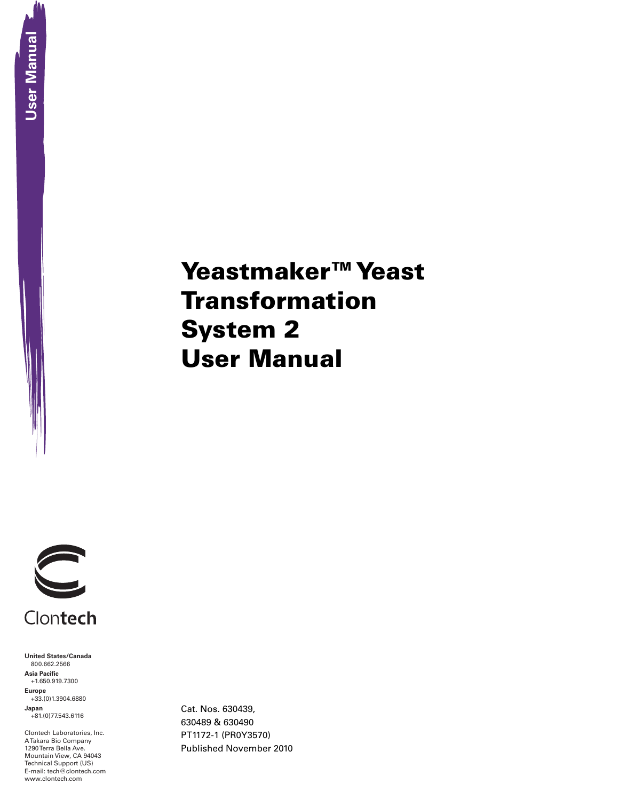# Yeastmaker™ Yeast **Transformation** System 2 User Manual



**United States/Canada** 800.662.2566 **Asia Pacific** +1.650.919.7300 **Europe** +33.(0)1.3904.6880 **Japan** +81.(0)77.543.6116

Clontech Laboratories, Inc. A Takara Bio Company 1290 Terra Bella Ave. Mountain View, CA 94043 Technical Support (US) E-mail: tech@clontech.com Cat. Nos. 630439, 630489 & 630490 PT1172-1 (PR0Y3570) Published November 2010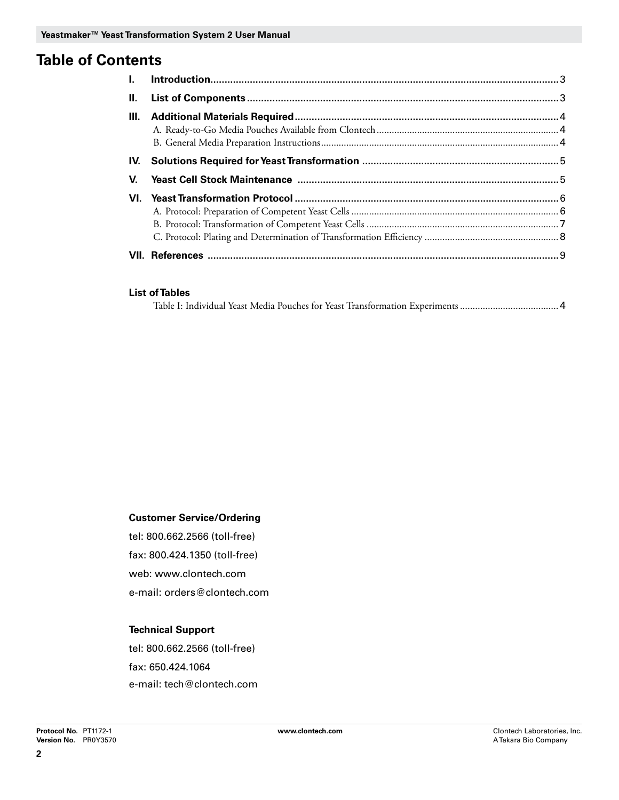### **Table of Contents**

| $\mathbf{II}$ . |  |
|-----------------|--|
| HI.             |  |
|                 |  |
| IV.             |  |
| V.              |  |
|                 |  |
|                 |  |
|                 |  |
|                 |  |
|                 |  |

#### **List of Tables**

|--|--|--|--|--|

#### **Customer Service/Ordering**

tel: 800.662.2566 (toll-free) fax: 800.424.1350 (toll-free) web: www.clontech.com e-mail: orders@clontech.com

#### **Technical Support**

tel: 800.662.2566 (toll-free) fax: 650.424.1064 e-mail: tech@clontech.com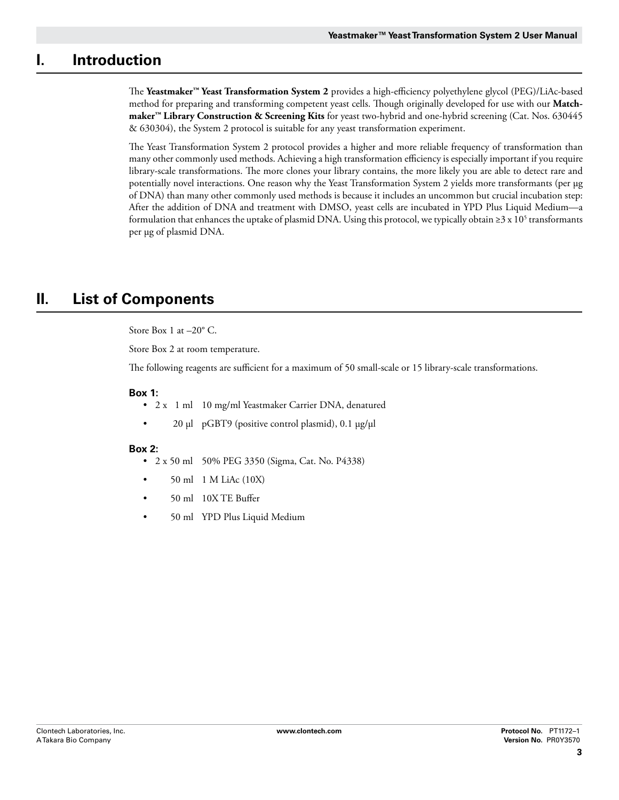### **I. Introduction**

The **Yeastmaker™ Yeast Transformation System 2** provides a high-efficiency polyethylene glycol (PEG)/LiAc-based method for preparing and transforming competent yeast cells. Though originally developed for use with our **Matchmaker™ Library Construction & Screening Kits** for yeast two-hybrid and one-hybrid screening (Cat. Nos. 630445 & 630304), the System 2 protocol is suitable for any yeast transformation experiment.

The Yeast Transformation System 2 protocol provides a higher and more reliable frequency of transformation than many other commonly used methods. Achieving a high transformation efficiency is especially important if you require library-scale transformations. The more clones your library contains, the more likely you are able to detect rare and potentially novel interactions. One reason why the Yeast Transformation System 2 yields more transformants (per µg of DNA) than many other commonly used methods is because it includes an uncommon but crucial incubation step: After the addition of DNA and treatment with DMSO, yeast cells are incubated in YPD Plus Liquid Medium—a formulation that enhances the uptake of plasmid DNA. Using this protocol, we typically obtain ≥3 x 10<sup>5</sup> transformants per µg of plasmid DNA.

### **II. List of Components**

Store Box 1 at –20° C.

Store Box 2 at room temperature.

The following reagents are sufficient for a maximum of 50 small-scale or 15 library-scale transformations.

#### **Box 1:**

- 2 x 1 ml 10 mg/ml Yeastmaker Carrier DNA, denatured
- 20 µl pGBT9 (positive control plasmid), 0.1 µg/µl

#### **Box 2:**

- • 2 x 50 ml 50% PEG 3350 (Sigma, Cat. No. P4338)
- 50 ml 1 M LiAc (10X)
- 50 ml 10X TE Buffer
- 50 ml YPD Plus Liquid Medium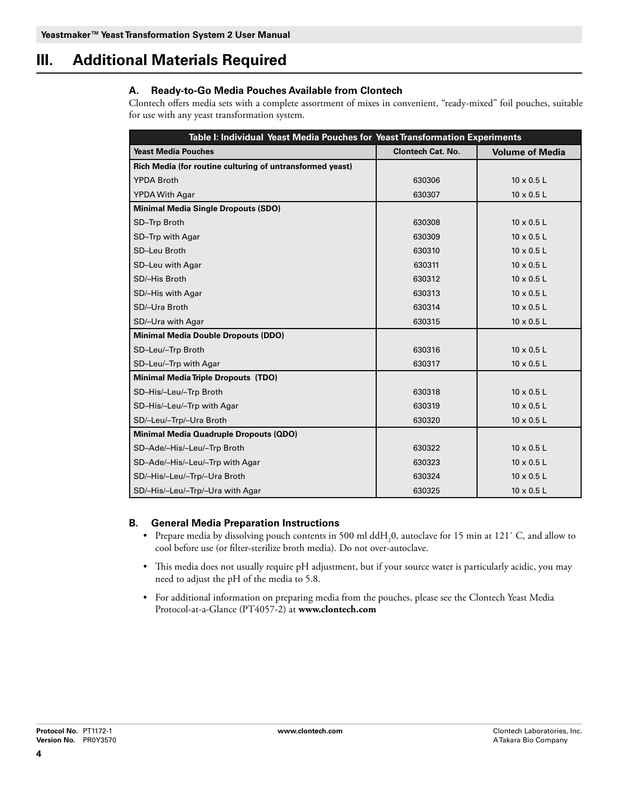### **III. Additional Materials Required**

#### **A. Ready-to-Go Media Pouches Available from Clontech**

Clontech offers media sets with a complete assortment of mixes in convenient, "ready-mixed" foil pouches, suitable for use with any yeast transformation system.

| Table I: Individual Yeast Media Pouches for Yeast Transformation Experiments |                          |                        |  |  |
|------------------------------------------------------------------------------|--------------------------|------------------------|--|--|
| <b>Yeast Media Pouches</b>                                                   | <b>Clontech Cat. No.</b> | <b>Volume of Media</b> |  |  |
| Rich Media (for routine culturing of untransformed yeast)                    |                          |                        |  |  |
| <b>YPDA Broth</b>                                                            | 630306                   | $10 \times 0.5$ L      |  |  |
| <b>YPDA With Agar</b>                                                        | 630307                   | $10 \times 0.5$ L      |  |  |
| <b>Minimal Media Single Dropouts (SDO)</b>                                   |                          |                        |  |  |
| SD-Trp Broth                                                                 | 630308                   | $10 \times 0.5$ L      |  |  |
| SD-Trp with Agar                                                             | 630309                   | $10 \times 0.5$ L      |  |  |
| SD-Leu Broth                                                                 | 630310                   | $10 \times 0.5$ L      |  |  |
| SD-Leu with Agar                                                             | 630311                   | $10 \times 0.5$ L      |  |  |
| SD/-His Broth                                                                | 630312                   | $10 \times 0.5$ L      |  |  |
| SD/-His with Agar                                                            | 630313                   | $10 \times 0.5$ L      |  |  |
| SD/-Ura Broth                                                                | 630314                   | $10 \times 0.5$ L      |  |  |
| SD/-Ura with Agar                                                            | 630315                   | $10 \times 0.5$ L      |  |  |
| <b>Minimal Media Double Dropouts (DDO)</b>                                   |                          |                        |  |  |
| SD-Leu/-Trp Broth                                                            | 630316                   | $10 \times 0.5$ L      |  |  |
| SD-Leu/-Trp with Agar                                                        | 630317                   | $10 \times 0.5$ L      |  |  |
| <b>Minimal Media Triple Dropouts (TDO)</b>                                   |                          |                        |  |  |
| SD-His/-Leu/-Trp Broth                                                       | 630318                   | $10 \times 0.5$ L      |  |  |
| SD-His/-Leu/-Trp with Agar                                                   | 630319                   | $10 \times 0.5$ L      |  |  |
| SD/-Leu/-Trp/-Ura Broth                                                      | 630320                   | $10 \times 0.5$ L      |  |  |
| <b>Minimal Media Quadruple Dropouts (QDO)</b>                                |                          |                        |  |  |
| SD-Ade/-His/-Leu/-Trp Broth                                                  | 630322                   | $10 \times 0.5$ L      |  |  |
| SD-Ade/-His/-Leu/-Trp with Agar                                              | 630323                   | $10 \times 0.5$ L      |  |  |
| SD/-His/-Leu/-Trp/-Ura Broth                                                 | 630324                   | $10 \times 0.5$ L      |  |  |
| SD/-His/-Leu/-Trp/-Ura with Agar                                             | 630325                   | $10 \times 0.5$ L      |  |  |

#### **B. General Media Preparation Instructions**

- Prepare media by dissolving pouch contents in 500 ml  $ddH_20$ , autoclave for 15 min at 121° C, and allow to cool before use (or filter-sterilize broth media). Do not over-autoclave.
- • This media does not usually require pH adjustment, but if your source water is particularly acidic, you may need to adjust the pH of the media to 5.8.
- • For additional information on preparing media from the pouches, please see the Clontech Yeast Media Protocol-at-a-Glance (PT4057-2) at **www.clontech.com**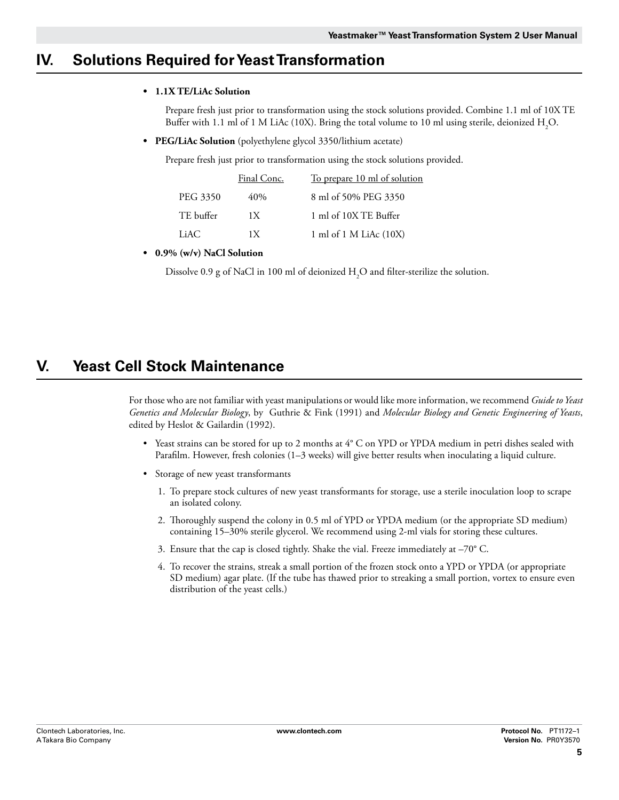### **IV. Solutions Required for Yeast Transformation**

#### **• 1.1X TE/LiAc Solution**

Prepare fresh just prior to transformation using the stock solutions provided. Combine 1.1 ml of 10X TE Buffer with 1.1 ml of 1 M LiAc (10X). Bring the total volume to 10 ml using sterile, deionized  $\rm H_2O$ .

**• PEG/LiAc Solution** (polyethylene glycol 3350/lithium acetate)

Prepare fresh just prior to transformation using the stock solutions provided.

|           | Final Conc. | <u>To prepare 10 ml of solution</u> |
|-----------|-------------|-------------------------------------|
| PEG 3350  | 40%         | 8 ml of 50% PEG 3350                |
| TE buffer | 1 X         | 1 ml of 10X TE Buffer               |
| LiAC      | 1 X         | 1 ml of 1 M LiAc $(10X)$            |

#### **• 0.9% (w/v) NaCl Solution**

Dissolve 0.9 g of NaCl in 100 ml of deionized  $\rm{H}_{2}O$  and filter-sterilize the solution.

### **V. Yeast Cell Stock Maintenance**

For those who are not familiar with yeast manipulations or would like more information, we recommend *Guide to Yeast Genetics and Molecular Biology*, by Guthrie & Fink (1991) and *Molecular Biology and Genetic Engineering of Yeasts*, edited by Heslot & Gailardin (1992).

- • Yeast strains can be stored for up to 2 months at 4° C on YPD or YPDA medium in petri dishes sealed with Parafilm. However, fresh colonies (1–3 weeks) will give better results when inoculating a liquid culture.
- • Storage of new yeast transformants
	- 1. To prepare stock cultures of new yeast transformants for storage, use a sterile inoculation loop to scrape an isolated colony.
	- 2. Thoroughly suspend the colony in 0.5 ml of YPD or YPDA medium (or the appropriate SD medium) containing 15–30% sterile glycerol. We recommend using 2-ml vials for storing these cultures.
	- 3. Ensure that the cap is closed tightly. Shake the vial. Freeze immediately at –70° C.
	- 4. To recover the strains, streak a small portion of the frozen stock onto a YPD or YPDA (or appropriate SD medium) agar plate. (If the tube has thawed prior to streaking a small portion, vortex to ensure even distribution of the yeast cells.)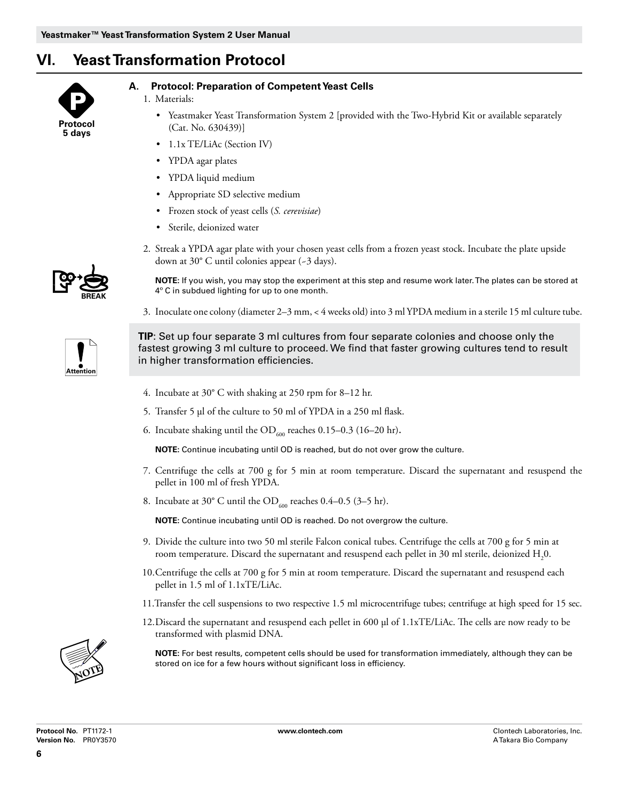### **VI. Yeast Transformation Protocol**



#### **A. Protocol: Preparation of Competent Yeast Cells**

- 1. Materials:
	- • Yeastmaker Yeast Transformation System 2 [provided with the Two-Hybrid Kit or available separately (Cat. No. 630439)]
	- 1.1x TE/LiAc (Section IV)
	- YPDA agar plates
	- • YPDA liquid medium
	- • Appropriate SD selective medium
	- • Frozen stock of yeast cells (*S. cerevisiae*)
	- • Sterile, deionized water
- 2. Streak a YPDA agar plate with your chosen yeast cells from a frozen yeast stock. Incubate the plate upside down at 30° C until colonies appear (~3 days).

**Note:** If you wish, you may stop the experiment at this step and resume work later. The plates can be stored at 4º C in subdued lighting for up to one month.

3. Inoculate one colony (diameter 2–3 mm, < 4 weeks old) into 3 ml YPDA medium in a sterile 15 ml culture tube.



**BREAK**

**TIP**: Set up four separate 3 ml cultures from four separate colonies and choose only the fastest growing 3 ml culture to proceed. We find that faster growing cultures tend to result in higher transformation efficiencies.

- 4. Incubate at 30° C with shaking at 250 rpm for 8–12 hr.
- 5. Transfer 5 µl of the culture to 50 ml of YPDA in a 250 ml flask.
- 6. Incubate shaking until the  $OD_{600}$  reaches 0.15–0.3 (16–20 hr).

**NOTE:** Continue incubating until OD is reached, but do not over grow the culture.

- 7. Centrifuge the cells at 700 g for 5 min at room temperature. Discard the supernatant and resuspend the pellet in 100 ml of fresh YPDA.
- 8. Incubate at 30° C until the OD<sub>600</sub> reaches 0.4–0.5 (3–5 hr).

**NOTE:** Continue incubating until OD is reached. Do not overgrow the culture.

- 9. Divide the culture into two 50 ml sterile Falcon conical tubes. Centrifuge the cells at 700 g for 5 min at room temperature. Discard the supernatant and resuspend each pellet in 30 ml sterile, deionized  $\rm H_{2}0.$
- 10.Centrifuge the cells at 700 g for 5 min at room temperature. Discard the supernatant and resuspend each pellet in 1.5 ml of 1.1xTE/LiAc.
- 11.Transfer the cell suspensions to two respective 1.5 ml microcentrifuge tubes; centrifuge at high speed for 15 sec.
- 12.Discard the supernatant and resuspend each pellet in 600 µl of 1.1xTE/LiAc. The cells are now ready to be transformed with plasmid DNA.

**NOTE:** For best results, competent cells should be used for transformation immediately, although they can be stored on ice for a few hours without significant loss in efficiency.

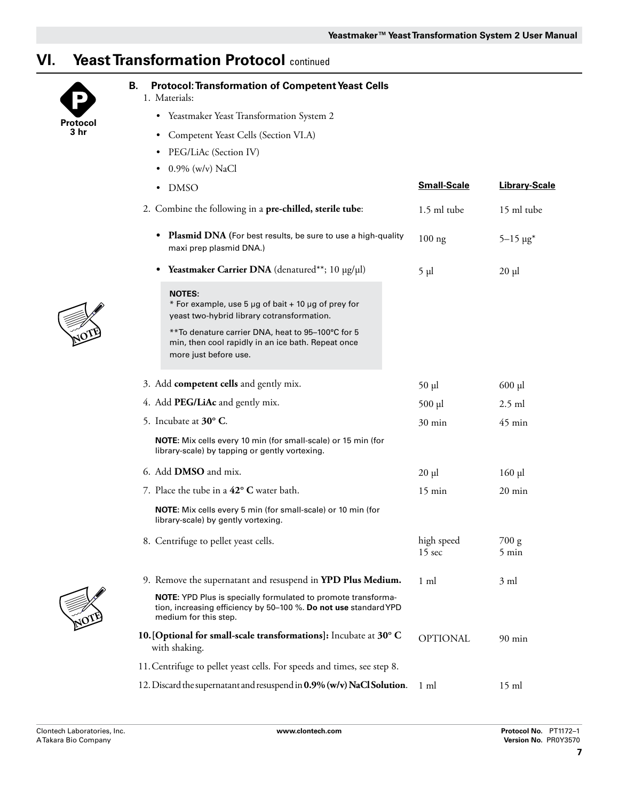## **VI. Yeast Transformation Protocol** continued



#### **B. Protocol: Transformation of Competent Yeast Cells**

- 1. Materials:
	- Yeastmaker Yeast Transformation System 2
	- • Competent Yeast Cells (Section VI.A)
	- PEG/LiAc (Section IV)
	- $0.9\%$  (w/v) NaCl

| • DMSO                                                                                                                                                            | <b>Small-Scale</b>             | <b>Library-Scale</b>     |
|-------------------------------------------------------------------------------------------------------------------------------------------------------------------|--------------------------------|--------------------------|
| 2. Combine the following in a pre-chilled, sterile tube:                                                                                                          | 1.5 ml tube                    | 15 ml tube               |
| <b>Plasmid DNA</b> (For best results, be sure to use a high-quality<br>$\bullet$<br>maxi prep plasmid DNA.)                                                       | $100$ ng                       | $5 - 15 \mu g^*$         |
| <b>Yeastmaker Carrier DNA</b> (denatured**; $10 \mu g/\mu l$ )<br>$\bullet$                                                                                       | $5 \mu l$                      | $20 \mu$                 |
| <b>NOTES:</b><br>* For example, use 5 µg of bait + 10 µg of prey for<br>yeast two-hybrid library cotransformation.                                                |                                |                          |
| **To denature carrier DNA, heat to 95-100°C for 5<br>min, then cool rapidly in an ice bath. Repeat once<br>more just before use.                                  |                                |                          |
| 3. Add competent cells and gently mix.                                                                                                                            | 50 µl                          | $600$ $\mu$              |
| 4. Add PEG/LiAc and gently mix.                                                                                                                                   | $500$ µl                       | $2.5$ ml                 |
| 5. Incubate at 30° C.                                                                                                                                             | $30 \text{ min}$               | $45 \text{ min}$         |
| <b>NOTE:</b> Mix cells every 10 min (for small-scale) or 15 min (for<br>library-scale) by tapping or gently vortexing.                                            |                                |                          |
| 6. Add <b>DMSO</b> and mix.                                                                                                                                       | $20 \mu l$                     | $160$ µl                 |
| 7. Place the tube in a 42° C water bath.                                                                                                                          | $15 \text{ min}$               | $20 \text{ min}$         |
| <b>NOTE:</b> Mix cells every 5 min (for small-scale) or 10 min (for<br>library-scale) by gently vortexing.                                                        |                                |                          |
| 8. Centrifuge to pellet yeast cells.                                                                                                                              | high speed<br>$15 \text{ sec}$ | 700 g<br>$5 \text{ min}$ |
| 9. Remove the supernatant and resuspend in YPD Plus Medium.                                                                                                       | $1 \text{ ml}$                 | 3 ml                     |
| <b>NOTE:</b> YPD Plus is specially formulated to promote transforma-<br>tion, increasing efficiency by 50–100 %. Do not use standard YPD<br>medium for this step. |                                |                          |
| 10. [Optional for small-scale transformations]: Incubate at 30° C<br>with shaking.                                                                                | <b>OPTIONAL</b>                | $90 \text{ min}$         |
| 11. Centrifuge to pellet yeast cells. For speeds and times, see step 8.                                                                                           |                                |                          |
| 12. Discard the supernatant and resuspend in 0.9% (w/v) NaCl Solution.                                                                                            | $1 \text{ ml}$                 | $15 \text{ ml}$          |



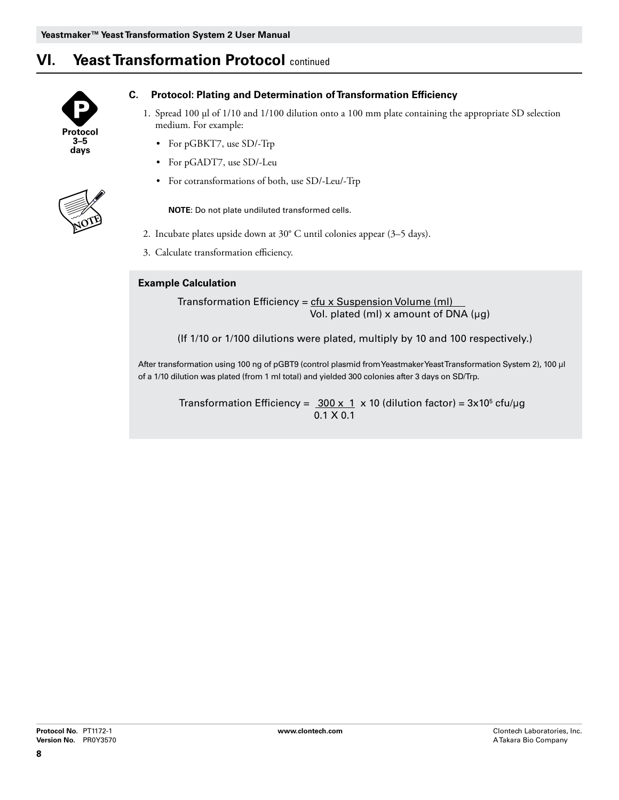### **VI. Yeast Transformation Protocol** continued



**NOTE**

#### **C. Protocol: Plating and Determination of Transformation Efficiency**

- 1. Spread 100 µl of 1/10 and 1/100 dilution onto a 100 mm plate containing the appropriate SD selection medium. For example:
	- For pGBKT7, use SD/-Trp
	- For pGADT7, use SD/-Leu
	- • For cotransformations of both, use SD/-Leu/-Trp

**NOTE:** Do not plate undiluted transformed cells.

- 2. Incubate plates upside down at 30° C until colonies appear (3–5 days).
- 3. Calculate transformation efficiency.

#### **Example Calculation**

Transformation Efficiency =  $ctu$  x Suspension Volume (ml)</u> Vol. plated (ml)  $x$  amount of DNA ( $\mu$ g)

(If 1/10 or 1/100 dilutions were plated, multiply by 10 and 100 respectively.)

After transformation using 100 ng of pGBT9 (control plasmid from Yeastmaker Yeast Transformation System 2), 100 µl of a 1/10 dilution was plated (from 1 ml total) and yielded 300 colonies after 3 days on SD/Trp.

Transformation Efficiency =  $300 \times 1 \times 10$  (dilution factor) =  $3 \times 10^5$  cfu/µg 0.1 x 0.1